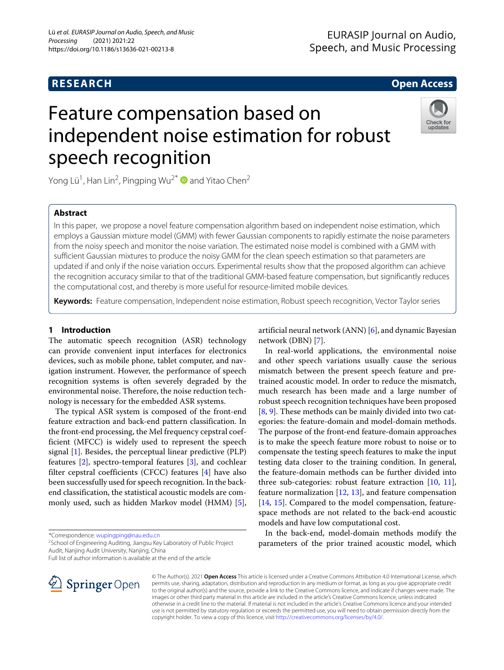# **RESEARCH Open Access**

# Feature compensation based on independent noise estimation for robust speech recognition



Yong Lü<sup>1</sup>, Han Lin<sup>2</sup>, Pingping Wu<sup>2\*</sup> and Yitao Chen<sup>2</sup>

# **Abstract**

In this paper, we propose a novel feature compensation algorithm based on independent noise estimation, which employs a Gaussian mixture model (GMM) with fewer Gaussian components to rapidly estimate the noise parameters from the noisy speech and monitor the noise variation. The estimated noise model is combined with a GMM with sufficient Gaussian mixtures to produce the noisy GMM for the clean speech estimation so that parameters are updated if and only if the noise variation occurs. Experimental results show that the proposed algorithm can achieve the recognition accuracy similar to that of the traditional GMM-based feature compensation, but significantly reduces the computational cost, and thereby is more useful for resource-limited mobile devices.

**Keywords:** Feature compensation, Independent noise estimation, Robust speech recognition, Vector Taylor series

#### **1 Introduction**

The automatic speech recognition (ASR) technology can provide convenient input interfaces for electronics devices, such as mobile phone, tablet computer, and navigation instrument. However, the performance of speech recognition systems is often severely degraded by the environmental noise. Therefore, the noise reduction technology is necessary for the embedded ASR systems.

The typical ASR system is composed of the front-end feature extraction and back-end pattern classification. In the front-end processing, the Mel frequency cepstral coefficient (MFCC) is widely used to represent the speech signal [\[1\]](#page-8-0). Besides, the perceptual linear predictive (PLP) features  $[2]$ , spectro-temporal features  $[3]$ , and cochlear filter cepstral coefficients (CFCC) features [\[4\]](#page-8-3) have also been successfully used for speech recognition. In the backend classification, the statistical acoustic models are commonly used, such as hidden Markov model (HMM) [\[5\]](#page-8-4),

\*Correspondence: [wupingping@nau.edu.cn](mailto: wupingping@nau.edu.cn)

<sup>2</sup>School of Engineering Auditing, Jiangsu Key Laboratory of Public Project Audit, Nanjing Audit University, Nanjing, China

Full list of author information is available at the end of the article

artificial neural network (ANN) [\[6\]](#page-8-5), and dynamic Bayesian network (DBN) [\[7\]](#page-8-6).

In real-world applications, the environmental noise and other speech variations usually cause the serious mismatch between the present speech feature and pretrained acoustic model. In order to reduce the mismatch, much research has been made and a large number of robust speech recognition techniques have been proposed [\[8,](#page-8-7) [9\]](#page-8-8). These methods can be mainly divided into two categories: the feature-domain and model-domain methods. The purpose of the front-end feature-domain approaches is to make the speech feature more robust to noise or to compensate the testing speech features to make the input testing data closer to the training condition. In general, the feature-domain methods can be further divided into three sub-categories: robust feature extraction  $[10, 11]$  $[10, 11]$  $[10, 11]$ , feature normalization [\[12,](#page-8-11) [13\]](#page-8-12), and feature compensation [\[14,](#page-8-13) [15\]](#page-8-14). Compared to the model compensation, featurespace methods are not related to the back-end acoustic models and have low computational cost.

In the back-end, model-domain methods modify the parameters of the prior trained acoustic model, which



© The Author(s). 2021 **Open Access** This article is licensed under a Creative Commons Attribution 4.0 International License, which permits use, sharing, adaptation, distribution and reproduction in any medium or format, as long as you give appropriate credit to the original author(s) and the source, provide a link to the Creative Commons licence, and indicate if changes were made. The images or other third party material in this article are included in the article's Creative Commons licence, unless indicated otherwise in a credit line to the material. If material is not included in the article's Creative Commons licence and your intended use is not permitted by statutory regulation or exceeds the permitted use, you will need to obtain permission directly from the copyright holder. To view a copy of this licence, visit [http://creativecommons.org/licenses/by/4.0/.](http://creativecommons.org/licenses/by/4.0/)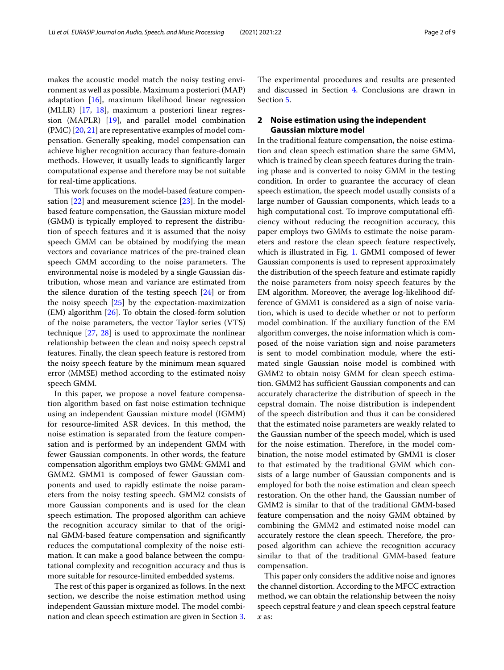makes the acoustic model match the noisy testing environment as well as possible. Maximum a posteriori (MAP) adaptation [\[16\]](#page-8-15), maximum likelihood linear regression (MLLR) [\[17,](#page-8-16) [18\]](#page-8-17), maximum a posteriori linear regression (MAPLR) [\[19\]](#page-8-18), and parallel model combination (PMC) [\[20,](#page-8-19) [21\]](#page-8-20) are representative examples of model compensation. Generally speaking, model compensation can achieve higher recognition accuracy than feature-domain methods. However, it usually leads to significantly larger computational expense and therefore may be not suitable for real-time applications.

This work focuses on the model-based feature compen-sation [\[22\]](#page-8-21) and measurement science [\[23\]](#page-8-22). In the modelbased feature compensation, the Gaussian mixture model (GMM) is typically employed to represent the distribution of speech features and it is assumed that the noisy speech GMM can be obtained by modifying the mean vectors and covariance matrices of the pre-trained clean speech GMM according to the noise parameters. The environmental noise is modeled by a single Gaussian distribution, whose mean and variance are estimated from the silence duration of the testing speech [\[24\]](#page-8-23) or from the noisy speech [\[25\]](#page-8-24) by the expectation-maximization (EM) algorithm [\[26\]](#page-8-25). To obtain the closed-form solution of the noise parameters, the vector Taylor series (VTS) technique [\[27,](#page-8-26) [28\]](#page-8-27) is used to approximate the nonlinear relationship between the clean and noisy speech cepstral features. Finally, the clean speech feature is restored from the noisy speech feature by the minimum mean squared error (MMSE) method according to the estimated noisy speech GMM.

In this paper, we propose a novel feature compensation algorithm based on fast noise estimation technique using an independent Gaussian mixture model (IGMM) for resource-limited ASR devices. In this method, the noise estimation is separated from the feature compensation and is performed by an independent GMM with fewer Gaussian components. In other words, the feature compensation algorithm employs two GMM: GMM1 and GMM2. GMM1 is composed of fewer Gaussian components and used to rapidly estimate the noise parameters from the noisy testing speech. GMM2 consists of more Gaussian components and is used for the clean speech estimation. The proposed algorithm can achieve the recognition accuracy similar to that of the original GMM-based feature compensation and significantly reduces the computational complexity of the noise estimation. It can make a good balance between the computational complexity and recognition accuracy and thus is more suitable for resource-limited embedded systems.

The rest of this paper is organized as follows. In the next section, we describe the noise estimation method using independent Gaussian mixture model. The model combination and clean speech estimation are given in Section [3.](#page-3-0)

The experimental procedures and results are presented and discussed in Section [4.](#page-5-0) Conclusions are drawn in Section [5.](#page-7-0)

### **2 Noise estimation using the independent Gaussian mixture model**

In the traditional feature compensation, the noise estimation and clean speech estimation share the same GMM, which is trained by clean speech features during the training phase and is converted to noisy GMM in the testing condition. In order to guarantee the accuracy of clean speech estimation, the speech model usually consists of a large number of Gaussian components, which leads to a high computational cost. To improve computational efficiency without reducing the recognition accuracy, this paper employs two GMMs to estimate the noise parameters and restore the clean speech feature respectively, which is illustrated in Fig. [1.](#page-2-0) GMM1 composed of fewer Gaussian components is used to represent approximately the distribution of the speech feature and estimate rapidly the noise parameters from noisy speech features by the EM algorithm. Moreover, the average log-likelihood difference of GMM1 is considered as a sign of noise variation, which is used to decide whether or not to perform model combination. If the auxiliary function of the EM algorithm converges, the noise information which is composed of the noise variation sign and noise parameters is sent to model combination module, where the estimated single Gaussian noise model is combined with GMM2 to obtain noisy GMM for clean speech estimation. GMM2 has sufficient Gaussian components and can accurately characterize the distribution of speech in the cepstral domain. The noise distribution is independent of the speech distribution and thus it can be considered that the estimated noise parameters are weakly related to the Gaussian number of the speech model, which is used for the noise estimation. Therefore, in the model combination, the noise model estimated by GMM1 is closer to that estimated by the traditional GMM which consists of a large number of Gaussian components and is employed for both the noise estimation and clean speech restoration. On the other hand, the Gaussian number of GMM2 is similar to that of the traditional GMM-based feature compensation and the noisy GMM obtained by combining the GMM2 and estimated noise model can accurately restore the clean speech. Therefore, the proposed algorithm can achieve the recognition accuracy similar to that of the traditional GMM-based feature compensation.

This paper only considers the additive noise and ignores the channel distortion. According to the MFCC extraction method, we can obtain the relationship between the noisy speech cepstral feature *y* and clean speech cepstral feature *x* as: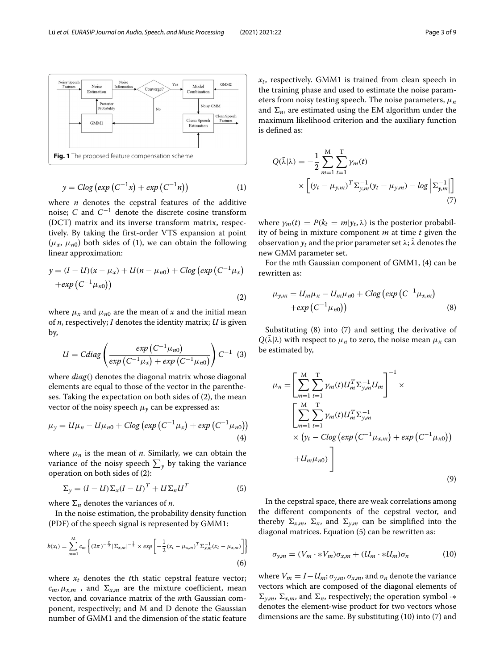

<span id="page-2-0"></span>
$$
y = C \log \left( \exp \left( C^{-1} x \right) + \exp \left( C^{-1} n \right) \right) \tag{1}
$$

where *n* denotes the cepstral features of the additive noise; *C* and *C*−<sup>1</sup> denote the discrete cosine transform (DCT) matrix and its inverse transform matrix, respectively. By taking the first-order VTS expansion at point  $(\mu_x, \mu_{n0})$  both sides of (1), we can obtain the following linear approximation:

$$
y = (I - U)(x - \mu_x) + U(n - \mu_{n0}) + C \log (\exp (C^{-1} \mu_x) + \exp (C^{-1} \mu_{n0}))
$$
\n(2)

where  $\mu_x$  and  $\mu_{n0}$  are the mean of *x* and the initial mean of *n*, respectively; *I* denotes the identity matrix; *U* is given by,

$$
U = Cdiag\left(\frac{exp(C^{-1}\mu_{n0})}{exp(C^{-1}\mu_x) + exp(C^{-1}\mu_{n0})}\right)C^{-1}
$$
 (3)

where *diag*() denotes the diagonal matrix whose diagonal elements are equal to those of the vector in the parentheses. Taking the expectation on both sides of (2), the mean vector of the noisy speech  $\mu$ <sub>*v*</sub> can be expressed as:

$$
\mu_{y} = U\mu_{n} - U\mu_{n0} + C\log\left(\exp\left(C^{-1}\mu_{x}\right) + \exp\left(C^{-1}\mu_{n0}\right)\right) \tag{4}
$$

where  $\mu_n$  is the mean of *n*. Similarly, we can obtain the variance of the noisy speech  $\sum_{y}$  by taking the variance operation on both sides of (2):

$$
\Sigma_y = (I - U)\Sigma_x (I - U)^T + U\Sigma_n U^T
$$
\n(5)

where  $\Sigma_n$  denotes the variances of *n*.

In the noise estimation, the probability density function (PDF) of the speech signal is represented by GMM1:

$$
b(x_t) = \sum_{m=1}^{M} c_m \left\{ (2\pi)^{-\frac{D}{2}} |\Sigma_{x,m}|^{-\frac{1}{2}} \times exp \left[ -\frac{1}{2} (x_t - \mu_{x,m})^T \Sigma_{x,m}^{-1} (x_t - \mu_{x,m}) \right] \right\}
$$
(6)

where  $x_t$  denotes the *t*th static cepstral feature vector;  $c_m, \mu_{x,m}$  , and  $\Sigma_{x,m}$  are the mixture coefficient, mean vector, and covariance matrix of the *m*th Gaussian component, respectively; and M and D denote the Gaussian number of GMM1 and the dimension of the static feature *xt*, respectively. GMM1 is trained from clean speech in the training phase and used to estimate the noise parameters from noisy testing speech. The noise parameters, μ*<sup>n</sup>* and  $\Sigma_n$ , are estimated using the EM algorithm under the maximum likelihood criterion and the auxiliary function is defined as:

$$
Q(\bar{\lambda}|\lambda) = -\frac{1}{2} \sum_{m=1}^{M} \sum_{t=1}^{T} \gamma_m(t) \times \left[ (y_t - \mu_{y,m})^T \Sigma_{y,m}^{-1} (y_t - \mu_{y,m}) - \log \left| \Sigma_{y,m}^{-1} \right| \right]
$$
\n(7)

where  $\gamma_m(t) = P(k_t = m|y_t, \lambda)$  is the posterior probability of being in mixture component *m* at time *t* given the observation  $y_t$  and the prior parameter set  $\lambda$ ;  $\lambda$  denotes the new GMM parameter set.

For the mth Gaussian component of GMM1, (4) can be rewritten as:

$$
\mu_{y,m} = U_m \mu_n - U_m \mu_{n0} + C \log \left( \exp \left( C^{-1} \mu_{x,m} \right) + \exp \left( C^{-1} \mu_{n0} \right) \right) \tag{8}
$$

Substituting (8) into (7) and setting the derivative of  $Q(\bar{\lambda}|\lambda)$  with respect to  $\mu_n$  to zero, the noise mean  $\mu_n$  can be estimated by,

$$
\mu_n = \left[ \sum_{m=1}^{M} \sum_{t=1}^{T} \gamma_m(t) U_m^T \Sigma_{y,m}^{-1} U_m \right]^{-1} \times \left[ \sum_{m=1}^{M} \sum_{t=1}^{T} \gamma_m(t) U_m^T \Sigma_{y,m}^{-1} \times \left( y_t - C \log \left( \exp \left( C^{-1} \mu_{x,m} \right) + \exp \left( C^{-1} \mu_{n0} \right) \right) + U_m \mu_{n0} \right) \right]
$$
\n(9)

In the cepstral space, there are weak correlations among the different components of the cepstral vector, and thereby  $\Sigma_{x,m}$ ,  $\Sigma_n$ , and  $\Sigma_{y,m}$  can be simplified into the diagonal matrices. Equation (5) can be rewritten as:

$$
\sigma_{y,m} = (V_m \cdot * V_m) \sigma_{x,m} + (U_m \cdot * U_m) \sigma_n \tag{10}
$$

where  $V_m = I - U_m$ ;  $\sigma_{\gamma,m}$ ,  $\sigma_{\gamma,m}$ , and  $\sigma_n$  denote the variance vectors which are composed of the diagonal elements of  $\Sigma_{y,m}$ ,  $\Sigma_{x,m}$ , and  $\Sigma_n$ , respectively; the operation symbol ·\* denotes the element-wise product for two vectors whose dimensions are the same. By substituting (10) into (7) and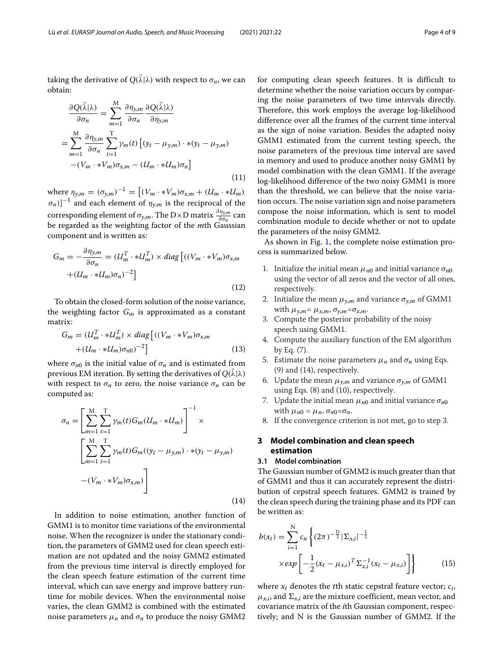taking the derivative of  $Q(\bar{\lambda}|\lambda)$  with respect to  $\sigma_n$ , we can obtain:

$$
\frac{\partial Q(\bar{\lambda}|\lambda)}{\partial \sigma_n} = \sum_{m=1}^{M} \frac{\partial \eta_{y,m}}{\partial \sigma_n} \frac{\partial Q(\bar{\lambda}|\lambda)}{\partial \eta_{y,m}}
$$
  
= 
$$
\sum_{m=1}^{M} \frac{\partial \eta_{y,m}}{\partial \sigma_n} \sum_{t=1}^{T} \gamma_m(t) \left[ (y_t - \mu_{y,m}) \cdot * (y_t - \mu_{y,m}) - (V_m \cdot * V_m) \sigma_{x,m} - (U_m \cdot * U_m) \sigma_n \right]
$$
(11)

 $where \eta_{y,m} = (\sigma_{y,m})^{-1} = [(V_m \cdot *V_m)\sigma_{x,m} + (U_m \cdot *U_m)]$  $(\sigma_n)]^{-1}$  and each element of  $\eta_{y,m}$  is the reciprocal of the corresponding element of  $\sigma_{y,m}$ . The D×D matrix  $\frac{\partial \eta_{y,m}}{\partial \sigma_n}$  can be regarded as the weighting factor of the *m*th Gaussian component and is written as:

$$
G_m = -\frac{\partial \eta_{y,m}}{\partial \sigma_n} = (U_m^T \cdot * U_m^T) \times diag \left[ ((V_m \cdot * V_m) \sigma_{x,m} + (U_m \cdot * U_m) \sigma_n)^{-2} \right]
$$
\n(12)

To obtain the closed-form solution of the noise variance, the weighting factor  $G_m$  is approximated as a constant matrix:

$$
G_m = (U_m^T \cdot * U_m^T) \times diag\left[ ((V_m \cdot * V_m) \sigma_{x,m} + (U_m \cdot * U_m) \sigma_{n0})^{-2} \right]
$$
\n(13)

where  $\sigma_{n0}$  is the initial value of  $\sigma_n$  and is estimated from previous EM iteration. By setting the derivatives of  $Q(\bar{\lambda}|\lambda)$ with respect to  $\sigma_n$  to zero, the noise variance  $\sigma_n$  can be computed as:

$$
\sigma_n = \left[ \sum_{m=1}^{M} \sum_{t=1}^{T} \gamma_m(t) G_m(U_m \cdot * U_m) \right]^{-1} \times \left[ \sum_{m=1}^{M} \sum_{t=1}^{T} \gamma_m(t) G_m((y_t - \mu_{y,m}) \cdot * (y_t - \mu_{y,m}) - (V_m \cdot * V_m) \sigma_{x,m}) \right]
$$
\n(14)

In addition to noise estimation, another function of GMM1 is to monitor time variations of the environmental noise. When the recognizer is under the stationary condition, the parameters of GMM2 used for clean speech estimation are not updated and the noisy GMM2 estimated from the previous time interval is directly employed for the clean speech feature estimation of the current time interval, which can save energy and improve battery runtime for mobile devices. When the environmental noise varies, the clean GMM2 is combined with the estimated noise parameters  $\mu_n$  and  $\sigma_n$  to produce the noisy GMM2

for computing clean speech features. It is difficult to determine whether the noise variation occurs by comparing the noise parameters of two time intervals directly. Therefore, this work employs the average log-likelihood difference over all the frames of the current time interval as the sign of noise variation. Besides the adapted noisy GMM1 estimated from the current testing speech, the noise parameters of the previous time interval are saved in memory and used to produce another noisy GMM1 by model combination with the clean GMM1. If the average log-likelihood difference of the two noisy GMM1 is more than the threshold, we can believe that the noise variation occurs. The noise variation sign and noise parameters compose the noise information, which is sent to model combination module to decide whether or not to update the parameters of the noisy GMM2.

As shown in Fig. [1,](#page-2-0) the complete noise estimation process is summarized below.

- 1. Initialize the initial mean  $\mu_{n0}$  and initial variance  $\sigma_{n0}$ using the vector of all zeros and the vector of all ones, respectively.
- 2. Initialize the mean  $\mu_{y,m}$  and variance  $\sigma_{y,m}$  of GMM1 with  $\mu_{\gamma,m} = \mu_{x,m}, \sigma_{\gamma,m} = \sigma_{x,m}.$
- 3. Compute the posterior probability of the noisy speech using GMM1.
- 4. Compute the auxiliary function of the EM algorithm by Eq. (7).
- 5. Estimate the noise parameters  $\mu_n$  and  $\sigma_n$  using Eqs. (9) and (14), respectively.
- 6. Update the mean  $\mu_{y,m}$  and variance  $\sigma_{y,m}$  of GMM1 using Eqs. (8) and (10), respectively.
- 7. Update the initial mean  $\mu_{n0}$  and initial variance  $\sigma_{n0}$ with  $\mu_{n0} = \mu_n$ ,  $\sigma_{n0} = \sigma_n$ .
- 8. If the convergence criterion is not met, go to step 3.

## <span id="page-3-0"></span>**3 Model combination and clean speech estimation**

#### **3.1 Model combination**

The Gaussian number of GMM2 is much greater than that of GMM1 and thus it can accurately represent the distribution of cepstral speech features. GMM2 is trained by the clean speech during the training phase and its PDF can be written as:

$$
b(x_t) = \sum_{i=1}^{N} c_n \left\{ (2\pi)^{-\frac{D}{2}} |\Sigma_{x,i}|^{-\frac{1}{2}} \times exp\left[ -\frac{1}{2} (x_t - \mu_{x,i})^T \Sigma_{x,i}^{-1} (x_t - \mu_{x,i}) \right] \right\}
$$
(15)

where  $x_t$  denotes the *t*th static cepstral feature vector;  $c_i$ ,  $\mu_{x,i}$ , and  $\Sigma_{x,i}$  are the mixture coefficient, mean vector, and covariance matrix of the *i*th Gaussian component, respectively; and N is the Gaussian number of GMM2. If the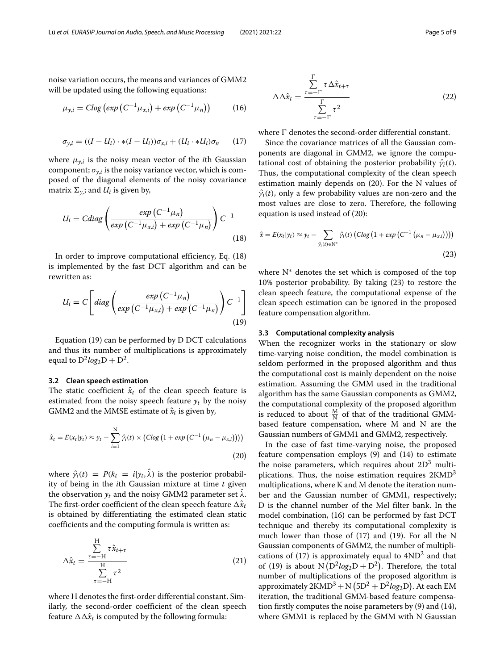noise variation occurs, the means and variances of GMM2 will be updated using the following equations:

$$
\mu_{y,i} = C \log \left( \exp \left( C^{-1} \mu_{x,i} \right) + \exp \left( C^{-1} \mu_n \right) \right) \tag{16}
$$

$$
\sigma_{y,i} = ((I - U_i) \cdot * (I - U_i)) \sigma_{x,i} + (U_i \cdot * U_i) \sigma_n \qquad (17)
$$

where  $\mu_{\gamma,i}$  is the noisy mean vector of the *i*th Gaussian component;  $\sigma_{y,i}$  is the noisy variance vector, which is composed of the diagonal elements of the noisy covariance matrix  $\Sigma_{y,i}$ ; and  $U_i$  is given by,

$$
U_i = Cdiag\left(\frac{exp\left(C^{-1}\mu_n\right)}{exp\left(C^{-1}\mu_{x,i}\right) + exp\left(C^{-1}\mu_n\right)}\right)C^{-1}
$$
\n(18)

In order to improve computational efficiency, Eq. (18) is implemented by the fast DCT algorithm and can be rewritten as:

$$
U_i = C \left[ diag \left( \frac{exp(C^{-1} \mu_n)}{exp(C^{-1} \mu_{x,i}) + exp(C^{-1} \mu_n)} \right) C^{-1} \right]
$$
\n(19)

Equation (19) can be performed by D DCT calculations and thus its number of multiplications is approximately equal to  $D^2log_2D + D^2$ .

#### **3.2 Clean speech estimation**

The static coefficient  $\hat{x}_t$  of the clean speech feature is estimated from the noisy speech feature  $y_t$  by the noisy GMM2 and the MMSE estimate of  $\hat{x}_t$  is given by,

$$
\hat{x}_t = E(x_t|y_t) \approx y_t - \sum_{i=1}^{N} \hat{\gamma}_i(t) \times (C \log (1 + \exp (C^{-1} (\mu_n - \mu_{x,i})))) \tag{20}
$$

where  $\hat{\gamma}_i(t) = P(k_t = i|y_t, \hat{\lambda})$  is the posterior probability of being in the *i*th Gaussian mixture at time *t* given the observation  $y_t$  and the noisy GMM2 parameter set  $\hat{\lambda}$ . The first-order coefficient of the clean speech feature  $\Delta \hat{x}_t$ is obtained by differentiating the estimated clean static coefficients and the computing formula is written as:

$$
\Delta \hat{x}_t = \frac{\sum_{\tau=-H}^{H} \tau \hat{x}_{t+\tau}}{\sum_{\tau=-H}^{H} \tau^2}
$$
(21)

where H denotes the first-order differential constant. Similarly, the second-order coefficient of the clean speech feature  $\Delta \Delta \hat{x}_t$  is computed by the following formula:

$$
\Delta \Delta \hat{x}_t = \frac{\sum_{\tau=-\Gamma}^{\Gamma} \tau \Delta \hat{x}_{t+\tau}}{\sum_{\tau=-\Gamma}^{\Gamma} \tau^2}
$$
(22)

where  $\Gamma$  denotes the second-order differential constant.

Since the covariance matrices of all the Gaussian components are diagonal in GMM2, we ignore the computational cost of obtaining the posterior probability  $\hat{\gamma}_i(t)$ . Thus, the computational complexity of the clean speech estimation mainly depends on (20). For the N values of  $\hat{\gamma}_i(t)$ , only a few probability values are non-zero and the most values are close to zero. Therefore, the following equation is used instead of (20):

$$
\hat{x} = E(x_t|y_t) \approx y_t - \sum_{\hat{y}_i(t) \in \mathbb{N}^*} \hat{y}_i(t) \left( C \log \left( 1 + \exp \left( C^{-1} \left( \mu_n - \mu_{x,i} \right) \right) \right) \right)
$$
\n(23)

where N∗ denotes the set which is composed of the top 10% posterior probability. By taking (23) to restore the clean speech feature, the computational expense of the clean speech estimation can be ignored in the proposed feature compensation algorithm.

#### **3.3 Computational complexity analysis**

When the recognizer works in the stationary or slow time-varying noise condition, the model combination is seldom performed in the proposed algorithm and thus the computational cost is mainly dependent on the noise estimation. Assuming the GMM used in the traditional algorithm has the same Gaussian components as GMM2, the computational complexity of the proposed algorithm is reduced to about  $\frac{M}{N}$  of that of the traditional GMMbased feature compensation, where M and N are the Gaussian numbers of GMM1 and GMM2, respectively.

In the case of fast time-varying noise, the proposed feature compensation employs (9) and (14) to estimate the noise parameters, which requires about  $2D<sup>3</sup>$  multiplications. Thus, the noise estimation requires  $2KMD<sup>3</sup>$ multiplications, where K and M denote the iteration number and the Gaussian number of GMM1, respectively; D is the channel number of the Mel filter bank. In the model combination, (16) can be performed by fast DCT technique and thereby its computational complexity is much lower than those of (17) and (19). For all the N Gaussian components of GMM2, the number of multiplications of  $(17)$  is approximately equal to  $4ND^2$  and that of (19) is about  $N(D^2log_2D + D^2)$ . Therefore, the total number of multiplications of the proposed algorithm is approximately  $2\mathrm{KMD}^3 + \mathrm{N} \left( 5\mathrm{D}^2 + \mathrm{D}^2 log_2\mathrm{D} \right)$ . At each EM iteration, the traditional GMM-based feature compensation firstly computes the noise parameters by (9) and (14), where GMM1 is replaced by the GMM with N Gaussian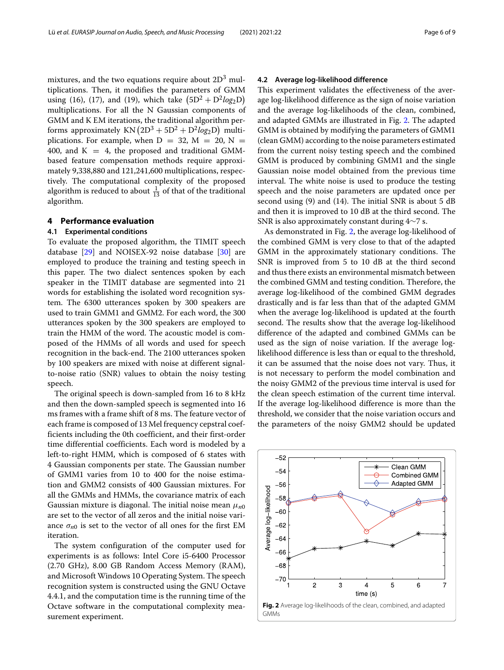mixtures, and the two equations require about  $2D<sup>3</sup>$  multiplications. Then, it modifies the parameters of GMM using (16), (17), and (19), which take  $(5D^2 + D^2 log_2D)$ multiplications. For all the N Gaussian components of GMM and K EM iterations, the traditional algorithm performs approximately  $KN(2D^3 + 5D^2 + D^2log_2D)$  multiplications. For example, when  $D = 32$ ,  $M = 20$ ,  $N =$ 400, and  $K = 4$ , the proposed and traditional GMMbased feature compensation methods require approximately 9,338,880 and 121,241,600 multiplications, respectively. The computational complexity of the proposed algorithm is reduced to about  $\frac{1}{13}$  of that of the traditional algorithm.

#### <span id="page-5-0"></span>**4 Performance evaluation**

#### **4.1 Experimental conditions**

To evaluate the proposed algorithm, the TIMIT speech database [\[29\]](#page-8-28) and NOISEX-92 noise database [\[30\]](#page-8-29) are employed to produce the training and testing speech in this paper. The two dialect sentences spoken by each speaker in the TIMIT database are segmented into 21 words for establishing the isolated word recognition system. The 6300 utterances spoken by 300 speakers are used to train GMM1 and GMM2. For each word, the 300 utterances spoken by the 300 speakers are employed to train the HMM of the word. The acoustic model is composed of the HMMs of all words and used for speech recognition in the back-end. The 2100 utterances spoken by 100 speakers are mixed with noise at different signalto-noise ratio (SNR) values to obtain the noisy testing speech.

The original speech is down-sampled from 16 to 8 kHz and then the down-sampled speech is segmented into 16 ms frames with a frame shift of 8 ms. The feature vector of each frame is composed of 13 Mel frequency cepstral coefficients including the 0th coefficient, and their first-order time differential coefficients. Each word is modeled by a left-to-right HMM, which is composed of 6 states with 4 Gaussian components per state. The Gaussian number of GMM1 varies from 10 to 400 for the noise estimation and GMM2 consists of 400 Gaussian mixtures. For all the GMMs and HMMs, the covariance matrix of each Gaussian mixture is diagonal. The initial noise mean μ*n*<sup>0</sup> are set to the vector of all zeros and the initial noise variance  $\sigma_{n0}$  is set to the vector of all ones for the first EM iteration.

The system configuration of the computer used for experiments is as follows: Intel Core i5-6400 Processor (2.70 GHz), 8.00 GB Random Access Memory (RAM), and Microsoft Windows 10 Operating System. The speech recognition system is constructed using the GNU Octave 4.4.1, and the computation time is the running time of the Octave software in the computational complexity measurement experiment.

#### **4.2 Average log-likelihood difference**

This experiment validates the effectiveness of the average log-likelihood difference as the sign of noise variation and the average log-likelihoods of the clean, combined, and adapted GMMs are illustrated in Fig. [2.](#page-5-1) The adapted GMM is obtained by modifying the parameters of GMM1 (clean GMM) according to the noise parameters estimated from the current noisy testing speech and the combined GMM is produced by combining GMM1 and the single Gaussian noise model obtained from the previous time interval. The white noise is used to produce the testing speech and the noise parameters are updated once per second using (9) and (14). The initial SNR is about 5 dB and then it is improved to 10 dB at the third second. The SNR is also approximately constant during 4∼7 s.

As demonstrated in Fig. [2,](#page-5-1) the average log-likelihood of the combined GMM is very close to that of the adapted GMM in the approximately stationary conditions. The SNR is improved from 5 to 10 dB at the third second and thus there exists an environmental mismatch between the combined GMM and testing condition. Therefore, the average log-likelihood of the combined GMM degrades drastically and is far less than that of the adapted GMM when the average log-likelihood is updated at the fourth second. The results show that the average log-likelihood difference of the adapted and combined GMMs can be used as the sign of noise variation. If the average loglikelihood difference is less than or equal to the threshold, it can be assumed that the noise does not vary. Thus, it is not necessary to perform the model combination and the noisy GMM2 of the previous time interval is used for the clean speech estimation of the current time interval. If the average log-likelihood difference is more than the threshold, we consider that the noise variation occurs and the parameters of the noisy GMM2 should be updated

<span id="page-5-1"></span>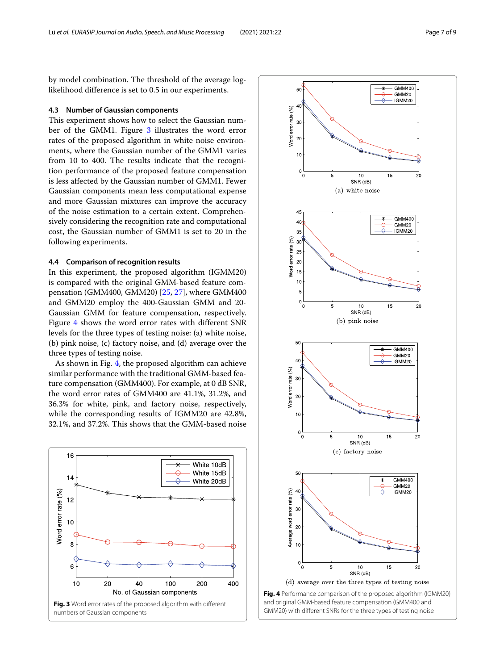by model combination. The threshold of the average loglikelihood difference is set to 0.5 in our experiments.

#### **4.3 Number of Gaussian components**

This experiment shows how to select the Gaussian number of the GMM1. Figure [3](#page-6-0) illustrates the word error rates of the proposed algorithm in white noise environments, where the Gaussian number of the GMM1 varies from 10 to 400. The results indicate that the recognition performance of the proposed feature compensation is less affected by the Gaussian number of GMM1. Fewer Gaussian components mean less computational expense and more Gaussian mixtures can improve the accuracy of the noise estimation to a certain extent. Comprehensively considering the recognition rate and computational cost, the Gaussian number of GMM1 is set to 20 in the following experiments.

#### **4.4 Comparison of recognition results**

In this experiment, the proposed algorithm (IGMM20) is compared with the original GMM-based feature compensation (GMM400, GMM20) [\[25,](#page-8-24) [27\]](#page-8-26), where GMM400 and GMM20 employ the 400-Gaussian GMM and 20- Gaussian GMM for feature compensation, respectively. Figure [4](#page-6-1) shows the word error rates with different SNR levels for the three types of testing noise: (a) white noise, (b) pink noise, (c) factory noise, and (d) average over the three types of testing noise.

As shown in Fig. [4,](#page-6-1) the proposed algorithm can achieve similar performance with the traditional GMM-based feature compensation (GMM400). For example, at 0 dB SNR, the word error rates of GMM400 are 41.1%, 31.2%, and 36.3% for white, pink, and factory noise, respectively, while the corresponding results of IGMM20 are 42.8%, 32.1%, and 37.2%. This shows that the GMM-based noise

<span id="page-6-1"></span><span id="page-6-0"></span>

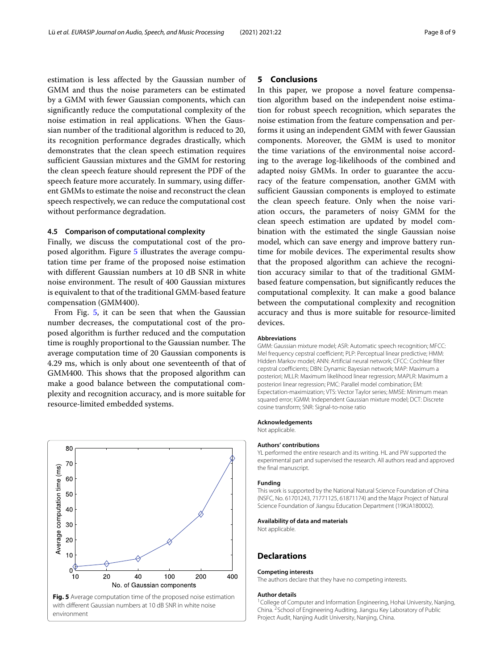estimation is less affected by the Gaussian number of GMM and thus the noise parameters can be estimated by a GMM with fewer Gaussian components, which can significantly reduce the computational complexity of the noise estimation in real applications. When the Gaussian number of the traditional algorithm is reduced to 20, its recognition performance degrades drastically, which demonstrates that the clean speech estimation requires sufficient Gaussian mixtures and the GMM for restoring the clean speech feature should represent the PDF of the speech feature more accurately. In summary, using different GMMs to estimate the noise and reconstruct the clean speech respectively, we can reduce the computational cost without performance degradation.

#### **4.5 Comparison of computational complexity**

Finally, we discuss the computational cost of the proposed algorithm. Figure [5](#page-7-1) illustrates the average computation time per frame of the proposed noise estimation with different Gaussian numbers at 10 dB SNR in white noise environment. The result of 400 Gaussian mixtures is equivalent to that of the traditional GMM-based feature compensation (GMM400).

From Fig. [5,](#page-7-1) it can be seen that when the Gaussian number decreases, the computational cost of the proposed algorithm is further reduced and the computation time is roughly proportional to the Gaussian number. The average computation time of 20 Gaussian components is 4.29 ms, which is only about one seventeenth of that of GMM400. This shows that the proposed algorithm can make a good balance between the computational complexity and recognition accuracy, and is more suitable for resource-limited embedded systems.

<span id="page-7-1"></span>

#### <span id="page-7-0"></span>**5 Conclusions**

In this paper, we propose a novel feature compensation algorithm based on the independent noise estimation for robust speech recognition, which separates the noise estimation from the feature compensation and performs it using an independent GMM with fewer Gaussian components. Moreover, the GMM is used to monitor the time variations of the environmental noise according to the average log-likelihoods of the combined and adapted noisy GMMs. In order to guarantee the accuracy of the feature compensation, another GMM with sufficient Gaussian components is employed to estimate the clean speech feature. Only when the noise variation occurs, the parameters of noisy GMM for the clean speech estimation are updated by model combination with the estimated the single Gaussian noise model, which can save energy and improve battery runtime for mobile devices. The experimental results show that the proposed algorithm can achieve the recognition accuracy similar to that of the traditional GMMbased feature compensation, but significantly reduces the computational complexity. It can make a good balance between the computational complexity and recognition accuracy and thus is more suitable for resource-limited devices.

#### **Abbreviations**

GMM: Gaussian mixture model; ASR: Automatic speech recognition; MFCC: Mel frequency cepstral coefficient; PLP: Perceptual linear predictive; HMM: Hidden Markov model; ANN: Artificial neural network; CFCC: Cochlear filter cepstral coefficients; DBN: Dynamic Bayesian network; MAP: Maximum a posteriori; MLLR: Maximum likelihood linear regression; MAPLR: Maximum a posteriori linear regression; PMC: Parallel model combination; EM: Expectation-maximization; VTS: Vector Taylor series; MMSE: Minimum mean squared error; IGMM: Independent Gaussian mixture model; DCT: Discrete cosine transform; SNR: Signal-to-noise ratio

#### **Acknowledgements**

Not applicable.

#### **Authors' contributions**

YL performed the entire research and its writing. HL and PW supported the experimental part and supervised the research. All authors read and approved the final manuscript.

#### **Funding**

This work is supported by the National Natural Science Foundation of China (NSFC, No. 61701243, 71771125, 61871174) and the Major Project of Natural Science Foundation of Jiangsu Education Department (19KJA180002).

#### **Availability of data and materials**

Not applicable.

#### **Declarations**

#### **Competing interests**

The authors declare that they have no competing interests.

#### **Author details**

<sup>1</sup> College of Computer and Information Engineering, Hohai University, Nanjing, China. 2School of Engineering Auditing, Jiangsu Key Laboratory of Public Project Audit, Nanjing Audit University, Nanjing, China.